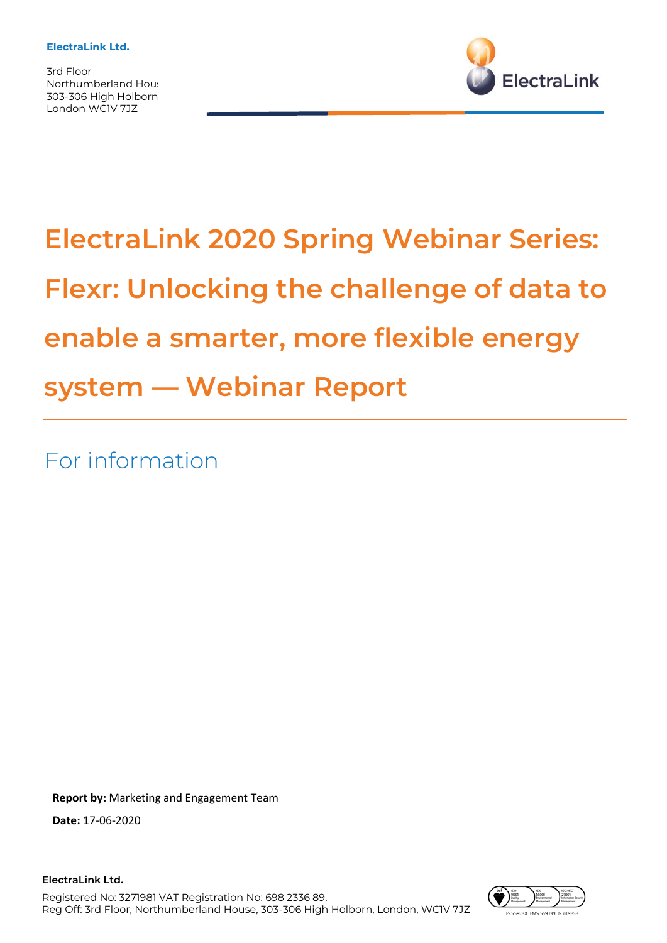3rd Floor Northumberland Hous 303-306 High Holborn London WC1V 7JZ



# **ElectraLink 2020 Spring Webinar Series: Flexr: Unlocking the challenge of data to enable a smarter, more flexible energy system — Webinar Report**

For information

**Report by:** Marketing and Engagement Team

**Date:** 17-06-2020

**ElectraLink Ltd.** Registered No: 3271981 VAT Registration No: 698 2336 89. Reg Off: 3rd Floor, Northumberland House, 303-306 High Holborn, London, WC1V 7JZ

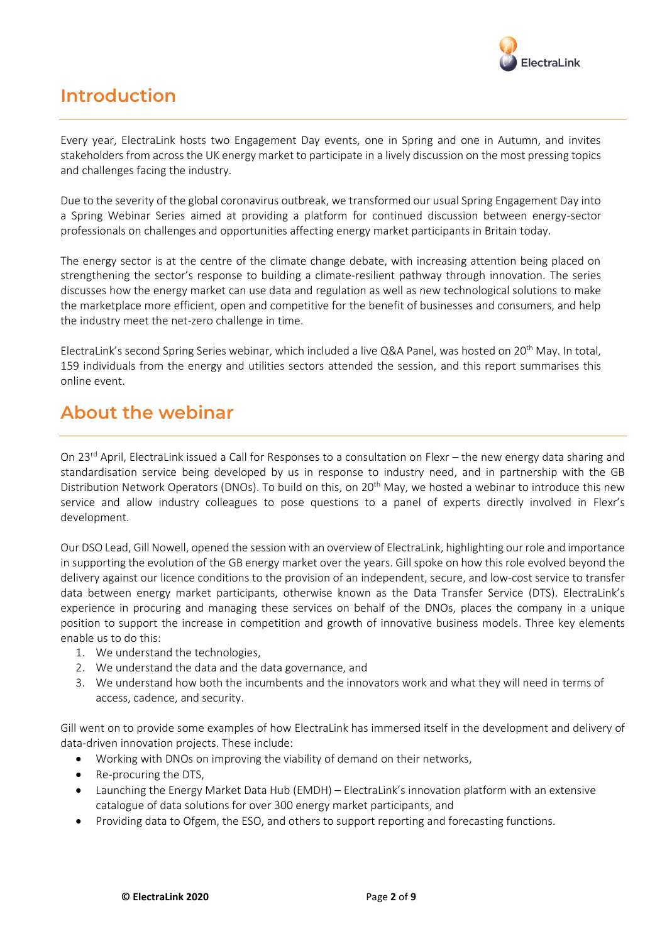

## **Introduction**

Every year, ElectraLink hosts two Engagement Day events, one in Spring and one in Autumn, and invites stakeholders from across the UK energy market to participate in a lively discussion on the most pressing topics and challenges facing the industry.

Due to the severity of the global coronavirus outbreak, we transformed our usual Spring Engagement Day into a Spring Webinar Series aimed at providing a platform for continued discussion between energy-sector professionals on challenges and opportunities affecting energy market participants in Britain today.

The energy sector is at the centre of the climate change debate, with increasing attention being placed on strengthening the sector's response to building a climate-resilient pathway through innovation. The series discusses how the energy market can use data and regulation as well as new technological solutions to make the marketplace more efficient, open and competitive for the benefit of businesses and consumers, and help the industry meet the net-zero challenge in time.

ElectraLink's second Spring Series webinar, which included a live Q&A Panel, was hosted on 20<sup>th</sup> May. In total, 159 individuals from the energy and utilities sectors attended the session, and this report summarises this online event.

### **About the webinar**

On 23<sup>rd</sup> April, ElectraLink issued a Call for Responses to a consultation on Flexr – the new energy data sharing and standardisation service being developed by us in response to industry need, and in partnership with the GB Distribution Network Operators (DNOs). To build on this, on 20th May, we hosted a webinar to introduce this new service and allow industry colleagues to pose questions to a panel of experts directly involved in Flexr's development.

Our DSO Lead, Gill Nowell, opened the session with an overview of ElectraLink, highlighting our role and importance in supporting the evolution of the GB energy market over the years. Gill spoke on how this role evolved beyond the delivery against our licence conditions to the provision of an independent, secure, and low-cost service to transfer data between energy market participants, otherwise known as the Data Transfer Service (DTS). ElectraLink's experience in procuring and managing these services on behalf of the DNOs, places the company in a unique position to support the increase in competition and growth of innovative business models. Three key elements enable us to do this:

- 1. We understand the technologies,
- 2. We understand the data and the data governance, and
- 3. We understand how both the incumbents and the innovators work and what they will need in terms of access, cadence, and security.

Gill went on to provide some examples of how ElectraLink has immersed itself in the development and delivery of data-driven innovation projects. These include:

- Working with DNOs on improving the viability of demand on their networks,
- Re-procuring the DTS,
- Launching the Energy Market Data Hub (EMDH) ElectraLink's innovation platform with an extensive catalogue of data solutions for over 300 energy market participants, and
- Providing data to Ofgem, the ESO, and others to support reporting and forecasting functions.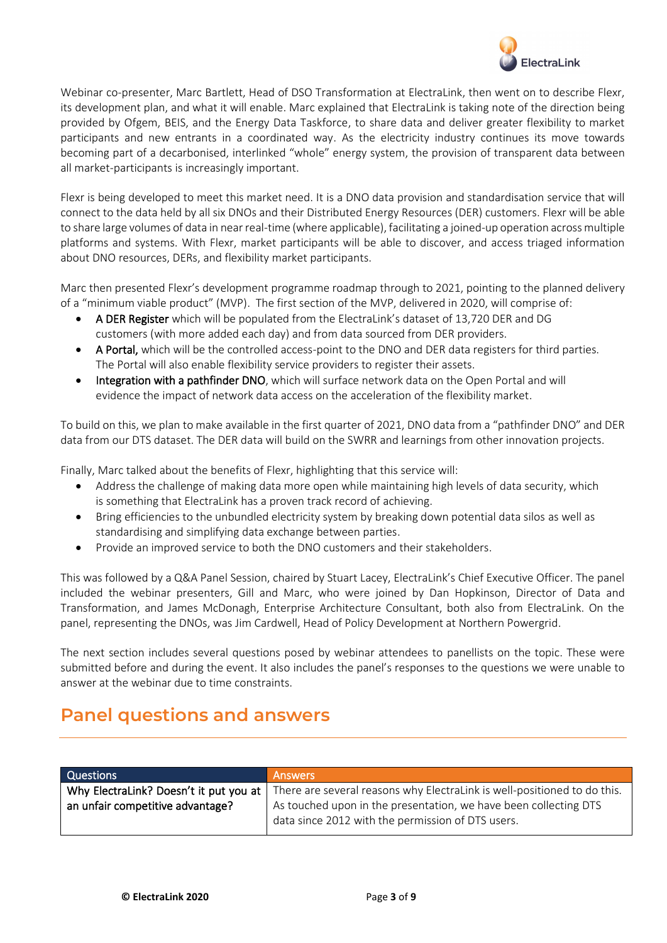

Webinar co-presenter, Marc Bartlett, Head of DSO Transformation at ElectraLink, then went on to describe Flexr, its development plan, and what it will enable. Marc explained that ElectraLink is taking note of the direction being provided by Ofgem, BEIS, and the Energy Data Taskforce, to share data and deliver greater flexibility to market participants and new entrants in a coordinated way. As the electricity industry continues its move towards becoming part of a decarbonised, interlinked "whole" energy system, the provision of transparent data between all market-participants is increasingly important.

Flexr is being developed to meet this market need. It is a DNO data provision and standardisation service that will connect to the data held by all six DNOs and their Distributed Energy Resources (DER) customers. Flexr will be able to share large volumes of data in near real-time (where applicable), facilitating a joined-up operation across multiple platforms and systems. With Flexr, market participants will be able to discover, and access triaged information about DNO resources, DERs, and flexibility market participants.

Marc then presented Flexr's development programme roadmap through to 2021, pointing to the planned delivery of a "minimum viable product" (MVP). The first section of the MVP, delivered in 2020, will comprise of:

- A DER Register which will be populated from the ElectraLink's dataset of 13,720 DER and DG customers (with more added each day) and from data sourced from DER providers.
- A Portal, which will be the controlled access-point to the DNO and DER data registers for third parties. The Portal will also enable flexibility service providers to register their assets.
- Integration with a pathfinder DNO, which will surface network data on the Open Portal and will evidence the impact of network data access on the acceleration of the flexibility market.

To build on this, we plan to make available in the first quarter of 2021, DNO data from a "pathfinder DNO" and DER data from our DTS dataset. The DER data will build on the SWRR and learnings from other innovation projects.

Finally, Marc talked about the benefits of Flexr, highlighting that this service will:

- Address the challenge of making data more open while maintaining high levels of data security, which is something that ElectraLink has a proven track record of achieving.
- Bring efficiencies to the unbundled electricity system by breaking down potential data silos as well as standardising and simplifying data exchange between parties.
- Provide an improved service to both the DNO customers and their stakeholders.

This was followed by a Q&A Panel Session, chaired by Stuart Lacey, ElectraLink's Chief Executive Officer. The panel included the webinar presenters, Gill and Marc, who were joined by Dan Hopkinson, Director of Data and Transformation, and James McDonagh, Enterprise Architecture Consultant, both also from ElectraLink. On the panel, representing the DNOs, was Jim Cardwell, Head of Policy Development at Northern Powergrid.

The next section includes several questions posed by webinar attendees to panellists on the topic. These were submitted before and during the event. It also includes the panel's responses to the questions we were unable to answer at the webinar due to time constraints.

### **Panel questions and answers**

| <b>Questions</b>                 | <b>Answers</b>                                                                                                    |
|----------------------------------|-------------------------------------------------------------------------------------------------------------------|
|                                  | Why ElectraLink? Doesn't it put you at   There are several reasons why ElectraLink is well-positioned to do this. |
| an unfair competitive advantage? | As touched upon in the presentation, we have been collecting DTS                                                  |
|                                  | data since 2012 with the permission of DTS users.                                                                 |
|                                  |                                                                                                                   |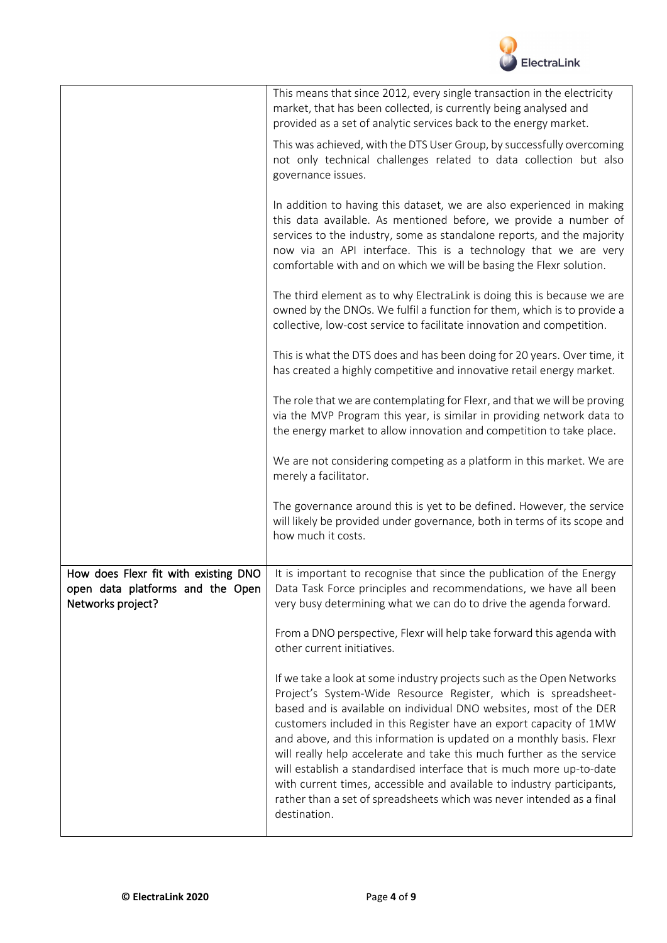

|                                                                                               | This means that since 2012, every single transaction in the electricity<br>market, that has been collected, is currently being analysed and<br>provided as a set of analytic services back to the energy market.                                                                                                                                                                                                                                                                                                                                                                                                                                                                |
|-----------------------------------------------------------------------------------------------|---------------------------------------------------------------------------------------------------------------------------------------------------------------------------------------------------------------------------------------------------------------------------------------------------------------------------------------------------------------------------------------------------------------------------------------------------------------------------------------------------------------------------------------------------------------------------------------------------------------------------------------------------------------------------------|
|                                                                                               | This was achieved, with the DTS User Group, by successfully overcoming<br>not only technical challenges related to data collection but also<br>governance issues.                                                                                                                                                                                                                                                                                                                                                                                                                                                                                                               |
|                                                                                               | In addition to having this dataset, we are also experienced in making<br>this data available. As mentioned before, we provide a number of<br>services to the industry, some as standalone reports, and the majority<br>now via an API interface. This is a technology that we are very<br>comfortable with and on which we will be basing the Flexr solution.                                                                                                                                                                                                                                                                                                                   |
|                                                                                               | The third element as to why ElectraLink is doing this is because we are<br>owned by the DNOs. We fulfil a function for them, which is to provide a<br>collective, low-cost service to facilitate innovation and competition.                                                                                                                                                                                                                                                                                                                                                                                                                                                    |
|                                                                                               | This is what the DTS does and has been doing for 20 years. Over time, it<br>has created a highly competitive and innovative retail energy market.                                                                                                                                                                                                                                                                                                                                                                                                                                                                                                                               |
|                                                                                               | The role that we are contemplating for Flexr, and that we will be proving<br>via the MVP Program this year, is similar in providing network data to<br>the energy market to allow innovation and competition to take place.                                                                                                                                                                                                                                                                                                                                                                                                                                                     |
|                                                                                               | We are not considering competing as a platform in this market. We are<br>merely a facilitator.                                                                                                                                                                                                                                                                                                                                                                                                                                                                                                                                                                                  |
|                                                                                               | The governance around this is yet to be defined. However, the service<br>will likely be provided under governance, both in terms of its scope and<br>how much it costs.                                                                                                                                                                                                                                                                                                                                                                                                                                                                                                         |
| How does Flexr fit with existing DNO<br>open data platforms and the Open<br>Networks project? | It is important to recognise that since the publication of the Energy<br>Data Task Force principles and recommendations, we have all been<br>very busy determining what we can do to drive the agenda forward.                                                                                                                                                                                                                                                                                                                                                                                                                                                                  |
|                                                                                               | From a DNO perspective, Flexr will help take forward this agenda with<br>other current initiatives.                                                                                                                                                                                                                                                                                                                                                                                                                                                                                                                                                                             |
|                                                                                               | If we take a look at some industry projects such as the Open Networks<br>Project's System-Wide Resource Register, which is spreadsheet-<br>based and is available on individual DNO websites, most of the DER<br>customers included in this Register have an export capacity of 1MW<br>and above, and this information is updated on a monthly basis. Flexr<br>will really help accelerate and take this much further as the service<br>will establish a standardised interface that is much more up-to-date<br>with current times, accessible and available to industry participants,<br>rather than a set of spreadsheets which was never intended as a final<br>destination. |
|                                                                                               |                                                                                                                                                                                                                                                                                                                                                                                                                                                                                                                                                                                                                                                                                 |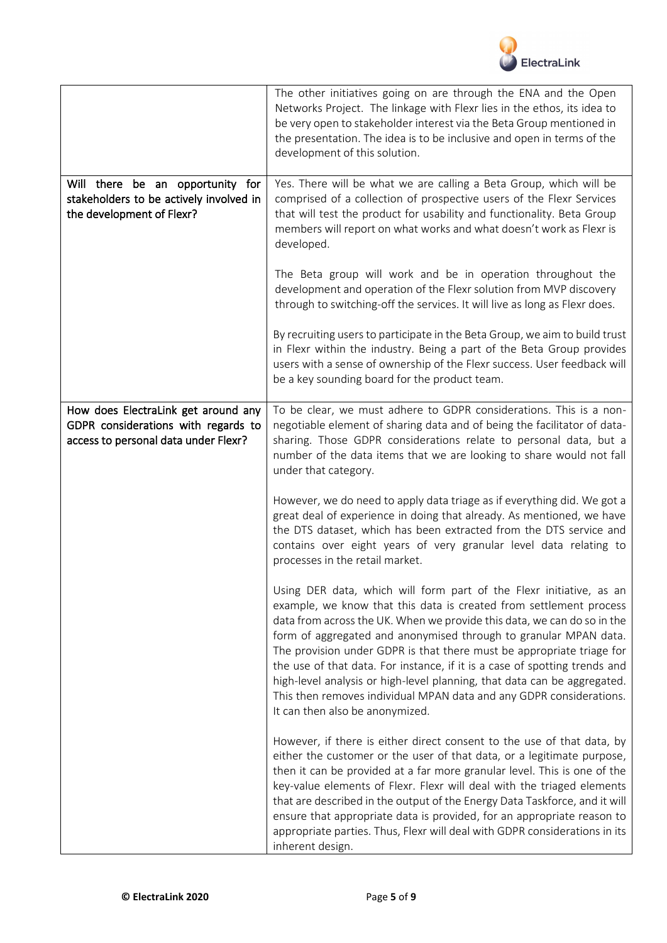

|                                                                                                                    | The other initiatives going on are through the ENA and the Open<br>Networks Project. The linkage with Flexr lies in the ethos, its idea to<br>be very open to stakeholder interest via the Beta Group mentioned in<br>the presentation. The idea is to be inclusive and open in terms of the<br>development of this solution.                                                                                                                                                                                                                                                                                                         |
|--------------------------------------------------------------------------------------------------------------------|---------------------------------------------------------------------------------------------------------------------------------------------------------------------------------------------------------------------------------------------------------------------------------------------------------------------------------------------------------------------------------------------------------------------------------------------------------------------------------------------------------------------------------------------------------------------------------------------------------------------------------------|
| Will there be an opportunity for<br>stakeholders to be actively involved in<br>the development of Flexr?           | Yes. There will be what we are calling a Beta Group, which will be<br>comprised of a collection of prospective users of the Flexr Services<br>that will test the product for usability and functionality. Beta Group<br>members will report on what works and what doesn't work as Flexr is<br>developed.                                                                                                                                                                                                                                                                                                                             |
|                                                                                                                    | The Beta group will work and be in operation throughout the<br>development and operation of the Flexr solution from MVP discovery<br>through to switching-off the services. It will live as long as Flexr does.                                                                                                                                                                                                                                                                                                                                                                                                                       |
|                                                                                                                    | By recruiting users to participate in the Beta Group, we aim to build trust<br>in Flexr within the industry. Being a part of the Beta Group provides<br>users with a sense of ownership of the Flexr success. User feedback will<br>be a key sounding board for the product team.                                                                                                                                                                                                                                                                                                                                                     |
| How does ElectraLink get around any<br>GDPR considerations with regards to<br>access to personal data under Flexr? | To be clear, we must adhere to GDPR considerations. This is a non-<br>negotiable element of sharing data and of being the facilitator of data-<br>sharing. Those GDPR considerations relate to personal data, but a<br>number of the data items that we are looking to share would not fall<br>under that category.                                                                                                                                                                                                                                                                                                                   |
|                                                                                                                    | However, we do need to apply data triage as if everything did. We got a<br>great deal of experience in doing that already. As mentioned, we have<br>the DTS dataset, which has been extracted from the DTS service and<br>contains over eight years of very granular level data relating to<br>processes in the retail market.                                                                                                                                                                                                                                                                                                        |
|                                                                                                                    | Using DER data, which will form part of the Flexr initiative, as an<br>example, we know that this data is created from settlement process<br>data from across the UK. When we provide this data, we can do so in the<br>form of aggregated and anonymised through to granular MPAN data.<br>The provision under GDPR is that there must be appropriate triage for<br>the use of that data. For instance, if it is a case of spotting trends and<br>high-level analysis or high-level planning, that data can be aggregated.<br>This then removes individual MPAN data and any GDPR considerations.<br>It can then also be anonymized. |
|                                                                                                                    | However, if there is either direct consent to the use of that data, by<br>either the customer or the user of that data, or a legitimate purpose,<br>then it can be provided at a far more granular level. This is one of the<br>key-value elements of Flexr. Flexr will deal with the triaged elements<br>that are described in the output of the Energy Data Taskforce, and it will<br>ensure that appropriate data is provided, for an appropriate reason to<br>appropriate parties. Thus, Flexr will deal with GDPR considerations in its<br>inherent design.                                                                      |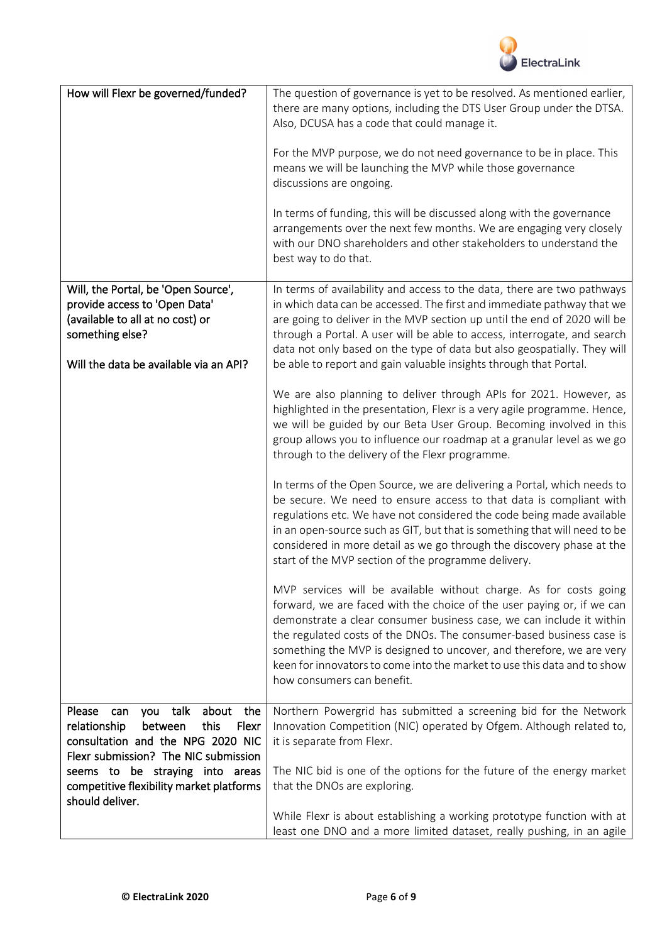

| How will Flexr be governed/funded?                                                                                                                                    | The question of governance is yet to be resolved. As mentioned earlier,<br>there are many options, including the DTS User Group under the DTSA.<br>Also, DCUSA has a code that could manage it.<br>For the MVP purpose, we do not need governance to be in place. This<br>means we will be launching the MVP while those governance<br>discussions are ongoing.<br>In terms of funding, this will be discussed along with the governance<br>arrangements over the next few months. We are engaging very closely<br>with our DNO shareholders and other stakeholders to understand the<br>best way to do that. |
|-----------------------------------------------------------------------------------------------------------------------------------------------------------------------|---------------------------------------------------------------------------------------------------------------------------------------------------------------------------------------------------------------------------------------------------------------------------------------------------------------------------------------------------------------------------------------------------------------------------------------------------------------------------------------------------------------------------------------------------------------------------------------------------------------|
| Will, the Portal, be 'Open Source',<br>provide access to 'Open Data'<br>(available to all at no cost) or<br>something else?<br>Will the data be available via an API? | In terms of availability and access to the data, there are two pathways<br>in which data can be accessed. The first and immediate pathway that we<br>are going to deliver in the MVP section up until the end of 2020 will be<br>through a Portal. A user will be able to access, interrogate, and search<br>data not only based on the type of data but also geospatially. They will<br>be able to report and gain valuable insights through that Portal.                                                                                                                                                    |
|                                                                                                                                                                       | We are also planning to deliver through APIs for 2021. However, as<br>highlighted in the presentation, Flexr is a very agile programme. Hence,<br>we will be guided by our Beta User Group. Becoming involved in this<br>group allows you to influence our roadmap at a granular level as we go<br>through to the delivery of the Flexr programme.                                                                                                                                                                                                                                                            |
|                                                                                                                                                                       | In terms of the Open Source, we are delivering a Portal, which needs to<br>be secure. We need to ensure access to that data is compliant with<br>regulations etc. We have not considered the code being made available<br>in an open-source such as GIT, but that is something that will need to be<br>considered in more detail as we go through the discovery phase at the<br>start of the MVP section of the programme delivery.                                                                                                                                                                           |
|                                                                                                                                                                       | MVP services will be available without charge. As for costs going<br>forward, we are faced with the choice of the user paying or, if we can<br>demonstrate a clear consumer business case, we can include it within<br>the regulated costs of the DNOs. The consumer-based business case is<br>something the MVP is designed to uncover, and therefore, we are very<br>keen for innovators to come into the market to use this data and to show<br>how consumers can benefit.                                                                                                                                 |
| Please<br>about<br>the<br>talk<br>can<br>you                                                                                                                          | Northern Powergrid has submitted a screening bid for the Network                                                                                                                                                                                                                                                                                                                                                                                                                                                                                                                                              |
| relationship<br>between<br>this<br>Flexr                                                                                                                              | Innovation Competition (NIC) operated by Ofgem. Although related to,                                                                                                                                                                                                                                                                                                                                                                                                                                                                                                                                          |
| consultation and the NPG 2020 NIC<br>Flexr submission? The NIC submission                                                                                             | it is separate from Flexr.                                                                                                                                                                                                                                                                                                                                                                                                                                                                                                                                                                                    |
| seems to be straying into areas                                                                                                                                       | The NIC bid is one of the options for the future of the energy market                                                                                                                                                                                                                                                                                                                                                                                                                                                                                                                                         |
| competitive flexibility market platforms<br>should deliver.                                                                                                           | that the DNOs are exploring.                                                                                                                                                                                                                                                                                                                                                                                                                                                                                                                                                                                  |
|                                                                                                                                                                       | While Flexr is about establishing a working prototype function with at<br>least one DNO and a more limited dataset, really pushing, in an agile                                                                                                                                                                                                                                                                                                                                                                                                                                                               |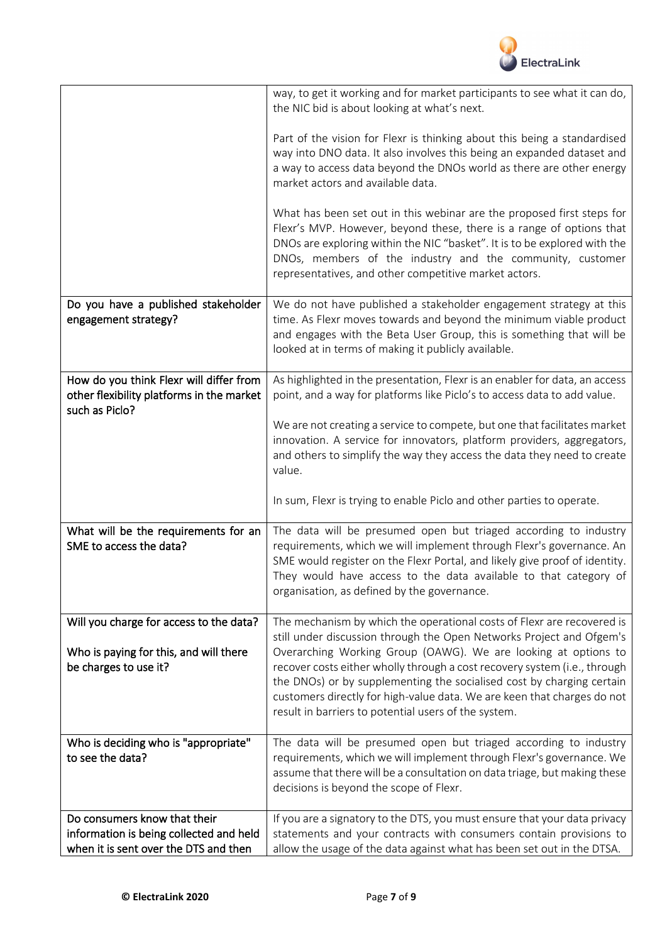

|                                                                                                        | way, to get it working and for market participants to see what it can do,<br>the NIC bid is about looking at what's next.                                                                                                                                                                                                                               |
|--------------------------------------------------------------------------------------------------------|---------------------------------------------------------------------------------------------------------------------------------------------------------------------------------------------------------------------------------------------------------------------------------------------------------------------------------------------------------|
|                                                                                                        | Part of the vision for Flexr is thinking about this being a standardised<br>way into DNO data. It also involves this being an expanded dataset and<br>a way to access data beyond the DNOs world as there are other energy<br>market actors and available data.                                                                                         |
|                                                                                                        | What has been set out in this webinar are the proposed first steps for<br>Flexr's MVP. However, beyond these, there is a range of options that<br>DNOs are exploring within the NIC "basket". It is to be explored with the<br>DNOs, members of the industry and the community, customer<br>representatives, and other competitive market actors.       |
| Do you have a published stakeholder                                                                    | We do not have published a stakeholder engagement strategy at this                                                                                                                                                                                                                                                                                      |
| engagement strategy?                                                                                   | time. As Flexr moves towards and beyond the minimum viable product<br>and engages with the Beta User Group, this is something that will be<br>looked at in terms of making it publicly available.                                                                                                                                                       |
| How do you think Flexr will differ from<br>other flexibility platforms in the market<br>such as Piclo? | As highlighted in the presentation, Flexr is an enabler for data, an access<br>point, and a way for platforms like Piclo's to access data to add value.                                                                                                                                                                                                 |
|                                                                                                        | We are not creating a service to compete, but one that facilitates market<br>innovation. A service for innovators, platform providers, aggregators,<br>and others to simplify the way they access the data they need to create<br>value.                                                                                                                |
|                                                                                                        | In sum, Flexr is trying to enable Piclo and other parties to operate.                                                                                                                                                                                                                                                                                   |
| What will be the requirements for an<br>SME to access the data?                                        | The data will be presumed open but triaged according to industry<br>requirements, which we will implement through Flexr's governance. An<br>SME would register on the Flexr Portal, and likely give proof of identity.<br>They would have access to the data available to that category of<br>organisation, as defined by the governance.               |
| Will you charge for access to the data?                                                                | The mechanism by which the operational costs of Flexr are recovered is<br>still under discussion through the Open Networks Project and Ofgem's                                                                                                                                                                                                          |
| Who is paying for this, and will there<br>be charges to use it?                                        | Overarching Working Group (OAWG). We are looking at options to<br>recover costs either wholly through a cost recovery system (i.e., through<br>the DNOs) or by supplementing the socialised cost by charging certain<br>customers directly for high-value data. We are keen that charges do not<br>result in barriers to potential users of the system. |
| Who is deciding who is "appropriate"                                                                   | The data will be presumed open but triaged according to industry                                                                                                                                                                                                                                                                                        |
| to see the data?                                                                                       | requirements, which we will implement through Flexr's governance. We<br>assume that there will be a consultation on data triage, but making these<br>decisions is beyond the scope of Flexr.                                                                                                                                                            |
| Do consumers know that their                                                                           | If you are a signatory to the DTS, you must ensure that your data privacy                                                                                                                                                                                                                                                                               |
| information is being collected and held<br>when it is sent over the DTS and then                       | statements and your contracts with consumers contain provisions to<br>allow the usage of the data against what has been set out in the DTSA.                                                                                                                                                                                                            |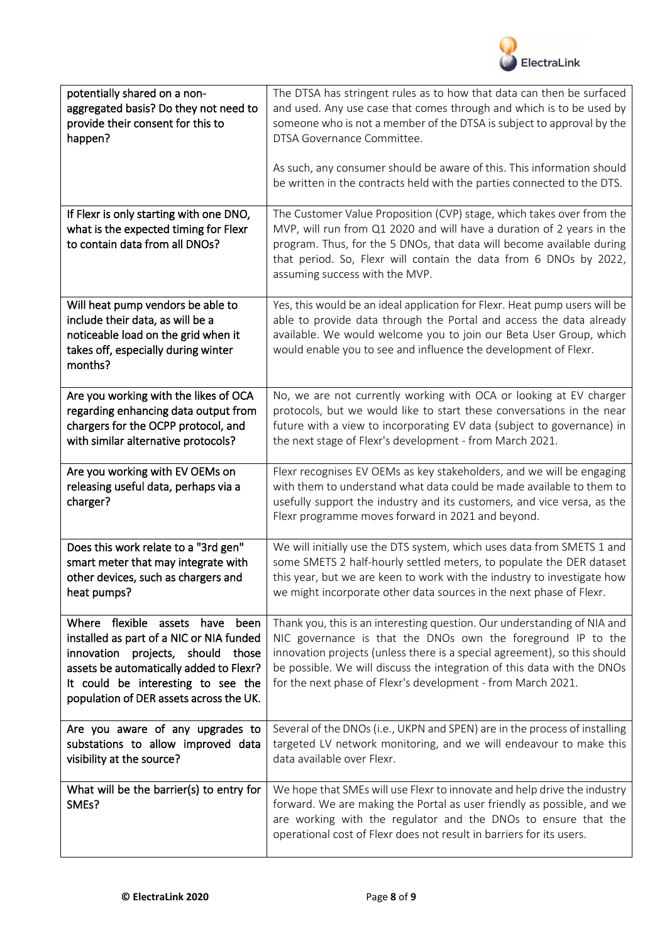

| potentially shared on a non-<br>aggregated basis? Do they not need to<br>provide their consent for this to<br>happen?                                                                                                                           | The DTSA has stringent rules as to how that data can then be surfaced<br>and used. Any use case that comes through and which is to be used by<br>someone who is not a member of the DTSA is subject to approval by the<br>DTSA Governance Committee.<br>As such, any consumer should be aware of this. This information should                                   |
|-------------------------------------------------------------------------------------------------------------------------------------------------------------------------------------------------------------------------------------------------|------------------------------------------------------------------------------------------------------------------------------------------------------------------------------------------------------------------------------------------------------------------------------------------------------------------------------------------------------------------|
|                                                                                                                                                                                                                                                 | be written in the contracts held with the parties connected to the DTS.                                                                                                                                                                                                                                                                                          |
| If Flexr is only starting with one DNO,<br>what is the expected timing for Flexr<br>to contain data from all DNOs?                                                                                                                              | The Customer Value Proposition (CVP) stage, which takes over from the<br>MVP, will run from Q1 2020 and will have a duration of 2 years in the<br>program. Thus, for the 5 DNOs, that data will become available during<br>that period. So, Flexr will contain the data from 6 DNOs by 2022,<br>assuming success with the MVP.                                   |
| Will heat pump vendors be able to<br>include their data, as will be a<br>noticeable load on the grid when it<br>takes off, especially during winter<br>months?                                                                                  | Yes, this would be an ideal application for Flexr. Heat pump users will be<br>able to provide data through the Portal and access the data already<br>available. We would welcome you to join our Beta User Group, which<br>would enable you to see and influence the development of Flexr.                                                                       |
| Are you working with the likes of OCA<br>regarding enhancing data output from<br>chargers for the OCPP protocol, and<br>with similar alternative protocols?                                                                                     | No, we are not currently working with OCA or looking at EV charger<br>protocols, but we would like to start these conversations in the near<br>future with a view to incorporating EV data (subject to governance) in<br>the next stage of Flexr's development - from March 2021.                                                                                |
| Are you working with EV OEMs on<br>releasing useful data, perhaps via a<br>charger?                                                                                                                                                             | Flexr recognises EV OEMs as key stakeholders, and we will be engaging<br>with them to understand what data could be made available to them to<br>usefully support the industry and its customers, and vice versa, as the<br>Flexr programme moves forward in 2021 and beyond.                                                                                    |
| Does this work relate to a "3rd gen"<br>smart meter that may integrate with<br>other devices, such as chargers and<br>heat pumps?                                                                                                               | We will initially use the DTS system, which uses data from SMETS 1 and<br>some SMETS 2 half-hourly settled meters, to populate the DER dataset<br>this year, but we are keen to work with the industry to investigate how<br>we might incorporate other data sources in the next phase of Flexr.                                                                 |
| Where flexible assets have<br>been<br>installed as part of a NIC or NIA funded<br>innovation projects, should those<br>assets be automatically added to Flexr?<br>It could be interesting to see the<br>population of DER assets across the UK. | Thank you, this is an interesting question. Our understanding of NIA and<br>NIC governance is that the DNOs own the foreground IP to the<br>innovation projects (unless there is a special agreement), so this should<br>be possible. We will discuss the integration of this data with the DNOs<br>for the next phase of Flexr's development - from March 2021. |
| Are you aware of any upgrades to<br>substations to allow improved data<br>visibility at the source?                                                                                                                                             | Several of the DNOs (i.e., UKPN and SPEN) are in the process of installing<br>targeted LV network monitoring, and we will endeavour to make this<br>data available over Flexr.                                                                                                                                                                                   |
| What will be the barrier(s) to entry for<br>SMEs?                                                                                                                                                                                               | We hope that SMEs will use Flexr to innovate and help drive the industry<br>forward. We are making the Portal as user friendly as possible, and we<br>are working with the regulator and the DNOs to ensure that the<br>operational cost of Flexr does not result in barriers for its users.                                                                     |